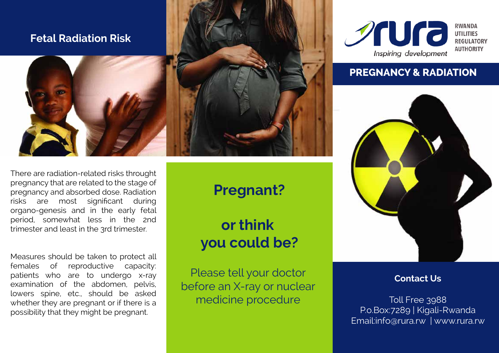## **Fetal Radiation Risk**



There are radiation-related risks throught pregnancy that are related to the stage of pregnancy and absorbed dose. Radiation risks are most significant during organo-genesis and in the early fetal period, somewhat less in the 2nd trimester and least in the 3rd trimester.

Measures should be taken to protect all females of reproductive capacity: patients who are to undergo x-ray examination of the abdomen, pelvis, lowers spine, etc., should be asked whether they are pregnant or if there is a possibility that they might be pregnant.

# **Pregnant?**

**or think you could be?**

Please tell your doctor before an X-ray or nuclear medicine procedure



## **PREGNANCY & RADIATION**



**Contact Us**

Toll Free 3988 P.o.Box:7289 | Kigali-Rwanda Email:info@rura.rw | www.rura.rw